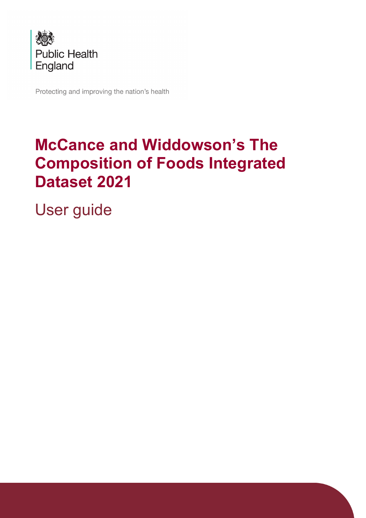

Protecting and improving the nation's health

# **McCance and Widdowson's The Composition of Foods Integrated Dataset 2021**

User guide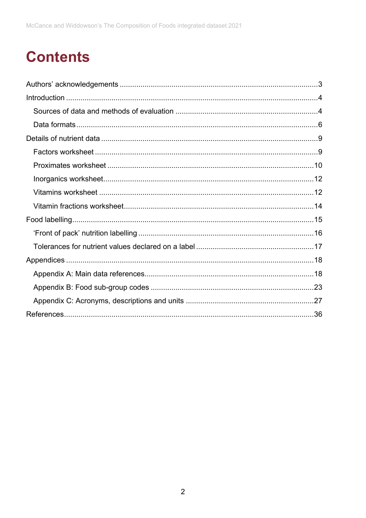# **Contents**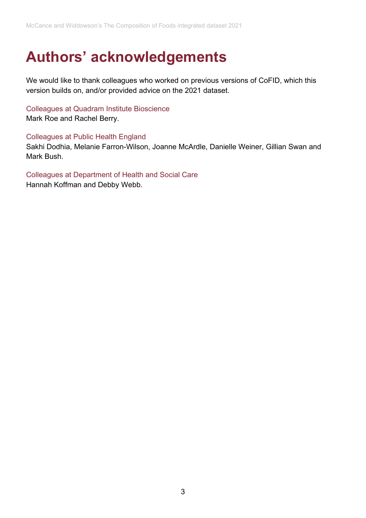# <span id="page-2-0"></span>**Authors' acknowledgements**

We would like to thank colleagues who worked on previous versions of CoFID, which this version builds on, and/or provided advice on the 2021 dataset.

Colleagues at Quadram Institute Bioscience Mark Roe and Rachel Berry.

Colleagues at Public Health England Sakhi Dodhia, Melanie Farron-Wilson, Joanne McArdle, Danielle Weiner, Gillian Swan and Mark Bush.

Colleagues at Department of Health and Social Care Hannah Koffman and Debby Webb.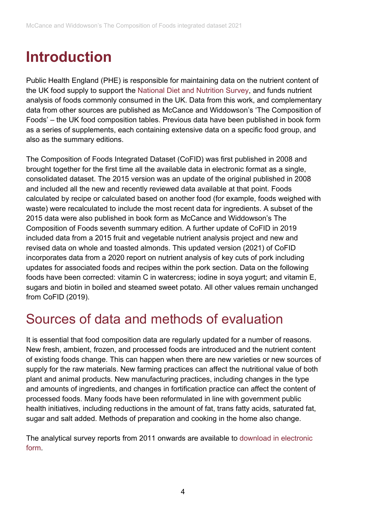# <span id="page-3-0"></span>**Introduction**

Public Health England (PHE) is responsible for maintaining data on the nutrient content of the UK food supply to support the [National Diet and Nutrition Survey,](https://www.gov.uk/government/collections/national-diet-and-nutrition-survey) and funds nutrient analysis of foods commonly consumed in the UK. Data from this work, and complementary data from other sources are published as McCance and Widdowson's 'The Composition of Foods' – the UK food composition tables. Previous data have been published in book form as a series of supplements, each containing extensive data on a specific food group, and also as the summary editions.

The Composition of Foods Integrated Dataset (CoFID) was first published in 2008 and brought together for the first time all the available data in electronic format as a single, consolidated dataset. The 2015 version was an update of the original published in 2008 and included all the new and recently reviewed data available at that point. Foods calculated by recipe or calculated based on another food (for example, foods weighed with waste) were recalculated to include the most recent data for ingredients. A subset of the 2015 data were also published in book form as McCance and Widdowson's The Composition of Foods seventh summary edition. A further update of CoFID in 2019 included data from a 2015 fruit and vegetable nutrient analysis project and new and revised data on whole and toasted almonds. This updated version (2021) of CoFID incorporates data from a 2020 report on nutrient analysis of key cuts of pork including updates for associated foods and recipes within the pork section. Data on the following foods have been corrected: vitamin C in watercress; iodine in soya yogurt; and vitamin E, sugars and biotin in boiled and steamed sweet potato. All other values remain unchanged from CoFID (2019).

## <span id="page-3-1"></span>Sources of data and methods of evaluation

It is essential that food composition data are regularly updated for a number of reasons. New fresh, ambient, frozen, and processed foods are introduced and the nutrient content of existing foods change. This can happen when there are new varieties or new sources of supply for the raw materials. New farming practices can affect the nutritional value of both plant and animal products. New manufacturing practices, including changes in the type and amounts of ingredients, and changes in fortification practice can affect the content of processed foods. Many foods have been reformulated in line with government public health initiatives, including reductions in the amount of fat, trans fatty acids, saturated fat, sugar and salt added. Methods of preparation and cooking in the home also change.

The analytical survey reports from 2011 onwards are available to download [in electronic](https://fdnc.quadram.ac.uk/)  [form.](https://fdnc.quadram.ac.uk/)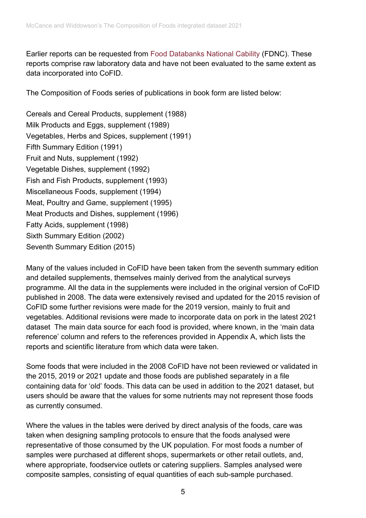Earlier reports can be requested from [Food Databanks National Cability](https://fdnc.quadram.ac.uk/) (FDNC). These reports comprise raw laboratory data and have not been evaluated to the same extent as data incorporated into CoFID.

The Composition of Foods series of publications in book form are listed below:

Cereals and Cereal Products, supplement (1988) Milk Products and Eggs, supplement (1989) Vegetables, Herbs and Spices, supplement (1991) Fifth Summary Edition (1991) Fruit and Nuts, supplement (1992) Vegetable Dishes, supplement (1992) Fish and Fish Products, supplement (1993) Miscellaneous Foods, supplement (1994) Meat, Poultry and Game, supplement (1995) Meat Products and Dishes, supplement (1996) Fatty Acids, supplement (1998) Sixth Summary Edition (2002) Seventh Summary Edition (2015)

Many of the values included in CoFID have been taken from the seventh summary edition and detailed supplements, themselves mainly derived from the analytical surveys programme. All the data in the supplements were included in the original version of CoFID published in 2008. The data were extensively revised and updated for the 2015 revision of CoFID some further revisions were made for the 2019 version, mainly to fruit and vegetables. Additional revisions were made to incorporate data on pork in the latest 2021 dataset The main data source for each food is provided, where known, in the 'main data reference' column and refers to the references provided in Appendix A, which lists the reports and scientific literature from which data were taken.

Some foods that were included in the 2008 CoFID have not been reviewed or validated in the 2015, 2019 or 2021 update and those foods are published separately in a file containing data for 'old' foods. This data can be used in addition to the 2021 dataset, but users should be aware that the values for some nutrients may not represent those foods as currently consumed.

Where the values in the tables were derived by direct analysis of the foods, care was taken when designing sampling protocols to ensure that the foods analysed were representative of those consumed by the UK population. For most foods a number of samples were purchased at different shops, supermarkets or other retail outlets, and, where appropriate, foodservice outlets or catering suppliers. Samples analysed were composite samples, consisting of equal quantities of each sub-sample purchased.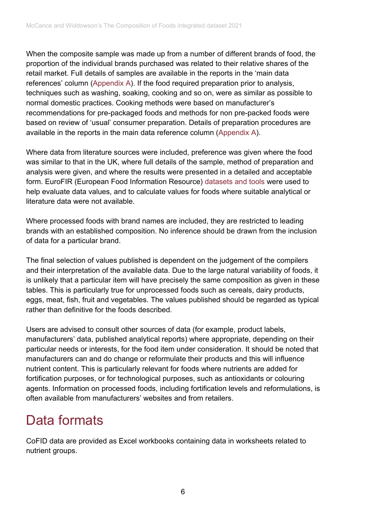When the composite sample was made up from a number of different brands of food, the proportion of the individual brands purchased was related to their relative shares of the retail market. Full details of samples are available in the reports in the 'main data references' column [\(Appendix A\)](#page-17-1). If the food required preparation prior to analysis, techniques such as washing, soaking, cooking and so on, were as similar as possible to normal domestic practices. Cooking methods were based on manufacturer's recommendations for pre-packaged foods and methods for non pre-packed foods were based on review of 'usual' consumer preparation. Details of preparation procedures are available in the reports in the main data reference column [\(Appendix A\)](#page-17-1).

Where data from literature sources were included, preference was given where the food was similar to that in the UK, where full details of the sample, method of preparation and analysis were given, and where the results were presented in a detailed and acceptable form. EuroFIR (European Food Information Resource) [datasets and tools](http://www.eurofir.org/) were used to help evaluate data values, and to calculate values for foods where suitable analytical or literature data were not available.

Where processed foods with brand names are included, they are restricted to leading brands with an established composition. No inference should be drawn from the inclusion of data for a particular brand.

The final selection of values published is dependent on the judgement of the compilers and their interpretation of the available data. Due to the large natural variability of foods, it is unlikely that a particular item will have precisely the same composition as given in these tables. This is particularly true for unprocessed foods such as cereals, dairy products, eggs, meat, fish, fruit and vegetables. The values published should be regarded as typical rather than definitive for the foods described.

Users are advised to consult other sources of data (for example, product labels, manufacturers' data, published analytical reports) where appropriate, depending on their particular needs or interests, for the food item under consideration. It should be noted that manufacturers can and do change or reformulate their products and this will influence nutrient content. This is particularly relevant for foods where nutrients are added for fortification purposes, or for technological purposes, such as antioxidants or colouring agents. Information on processed foods, including fortification levels and reformulations, is often available from manufacturers' websites and from retailers.

## <span id="page-5-0"></span>Data formats

CoFID data are provided as Excel workbooks containing data in worksheets related to nutrient groups.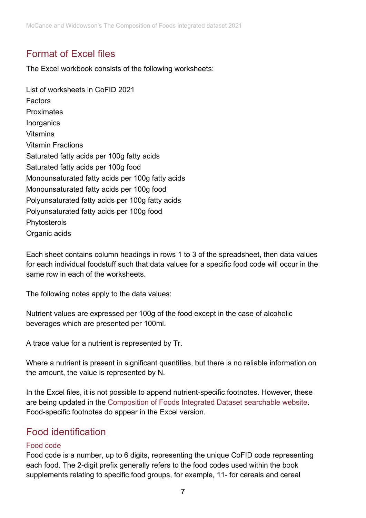## Format of Excel files

The Excel workbook consists of the following worksheets:

List of worksheets in CoFID 2021 Factors Proximates **Inorganics** Vitamins Vitamin Fractions Saturated fatty acids per 100g fatty acids Saturated fatty acids per 100g food Monounsaturated fatty acids per 100g fatty acids Monounsaturated fatty acids per 100g food Polyunsaturated fatty acids per 100g fatty acids Polyunsaturated fatty acids per 100g food Phytosterols Organic acids

Each sheet contains column headings in rows 1 to 3 of the spreadsheet, then data values for each individual foodstuff such that data values for a specific food code will occur in the same row in each of the worksheets.

The following notes apply to the data values:

Nutrient values are expressed per 100g of the food except in the case of alcoholic beverages which are presented per 100ml.

A trace value for a nutrient is represented by Tr.

Where a nutrient is present in significant quantities, but there is no reliable information on the amount, the value is represented by N.

In the Excel files, it is not possible to append nutrient-specific footnotes. However, these are being updated in the [Composition of Foods Integrated Dataset searchable website.](https://quadram.ac.uk/UKfoodcomposition) Food-specific footnotes do appear in the Excel version.

## Food identification

## Food code

Food code is a number, up to 6 digits, representing the unique CoFID code representing each food. The 2-digit prefix generally refers to the food codes used within the book supplements relating to specific food groups, for example, 11- for cereals and cereal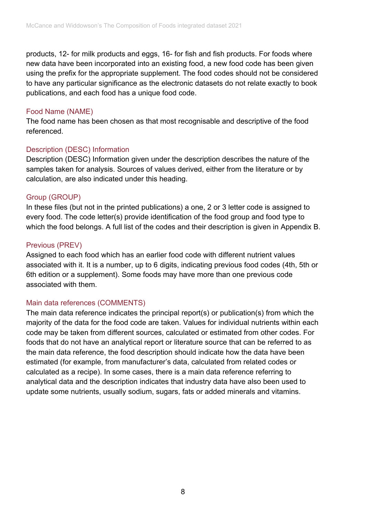products, 12- for milk products and eggs, 16- for fish and fish products. For foods where new data have been incorporated into an existing food, a new food code has been given using the prefix for the appropriate supplement. The food codes should not be considered to have any particular significance as the electronic datasets do not relate exactly to book publications, and each food has a unique food code.

#### Food Name (NAME)

The food name has been chosen as that most recognisable and descriptive of the food referenced.

## Description (DESC) Information

Description (DESC) Information given under the description describes the nature of the samples taken for analysis. Sources of values derived, either from the literature or by calculation, are also indicated under this heading.

## Group (GROUP)

In these files (but not in the printed publications) a one, 2 or 3 letter code is assigned to every food. The code letter(s) provide identification of the food group and food type to which the food belongs. A full list of the codes and their description is given in Appendix B.

## Previous (PREV)

Assigned to each food which has an earlier food code with different nutrient values associated with it. It is a number, up to 6 digits, indicating previous food codes (4th, 5th or 6th edition or a supplement). Some foods may have more than one previous code associated with them.

## Main data references (COMMENTS)

The main data reference indicates the principal report(s) or publication(s) from which the majority of the data for the food code are taken. Values for individual nutrients within each code may be taken from different sources, calculated or estimated from other codes. For foods that do not have an analytical report or literature source that can be referred to as the main data reference, the food description should indicate how the data have been estimated (for example, from manufacturer's data, calculated from related codes or calculated as a recipe). In some cases, there is a main data reference referring to analytical data and the description indicates that industry data have also been used to update some nutrients, usually sodium, sugars, fats or added minerals and vitamins.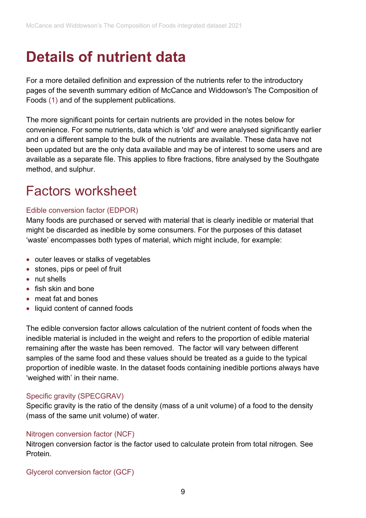# <span id="page-8-0"></span>**Details of nutrient data**

For a more detailed definition and expression of the nutrients refer to the introductory pages of the seventh summary edition of McCance and Widdowson's The Composition of Foods [\(1\)](#page-35-1) and of the supplement publications.

The more significant points for certain nutrients are provided in the notes below for convenience. For some nutrients, data which is 'old' and were analysed significantly earlier and on a different sample to the bulk of the nutrients are available. These data have not been updated but are the only data available and may be of interest to some users and are available as a separate file. This applies to fibre fractions, fibre analysed by the Southgate method, and sulphur.

## <span id="page-8-1"></span>Factors worksheet

#### Edible conversion factor (EDPOR)

Many foods are purchased or served with material that is clearly inedible or material that might be discarded as inedible by some consumers. For the purposes of this dataset 'waste' encompasses both types of material, which might include, for example:

- outer leaves or stalks of vegetables
- stones, pips or peel of fruit
- nut shells
- fish skin and bone
- meat fat and bones
- liquid content of canned foods

The edible conversion factor allows calculation of the nutrient content of foods when the inedible material is included in the weight and refers to the proportion of edible material remaining after the waste has been removed. The factor will vary between different samples of the same food and these values should be treated as a guide to the typical proportion of inedible waste. In the dataset foods containing inedible portions always have 'weighed with' in their name.

#### Specific gravity (SPECGRAV)

Specific gravity is the ratio of the density (mass of a unit volume) of a food to the density (mass of the same unit volume) of water.

#### Nitrogen conversion factor (NCF)

Nitrogen conversion factor is the factor used to calculate protein from total nitrogen. See Protein.

#### Glycerol conversion factor (GCF)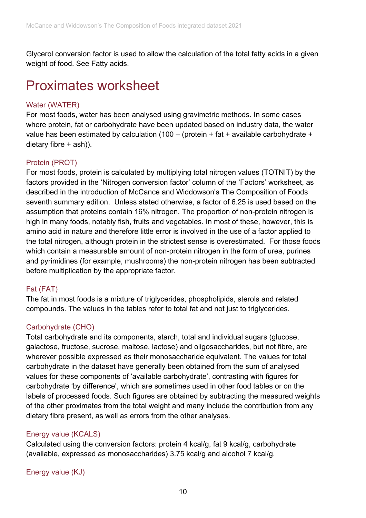Glycerol conversion factor is used to allow the calculation of the total fatty acids in a given weight of food. See Fatty acids.

## <span id="page-9-0"></span>Proximates worksheet

## Water (WATER)

For most foods, water has been analysed using gravimetric methods. In some cases where protein, fat or carbohydrate have been updated based on industry data, the water value has been estimated by calculation (100 – (protein + fat + available carbohydrate + dietary fibre + ash)).

## Protein (PROT)

For most foods, protein is calculated by multiplying total nitrogen values (TOTNIT) by the factors provided in the 'Nitrogen conversion factor' column of the 'Factors' worksheet, as described in the introduction of McCance and Widdowson's The Composition of Foods seventh summary edition. Unless stated otherwise, a factor of 6.25 is used based on the assumption that proteins contain 16% nitrogen. The proportion of non-protein nitrogen is high in many foods, notably fish, fruits and vegetables. In most of these, however, this is amino acid in nature and therefore little error is involved in the use of a factor applied to the total nitrogen, although protein in the strictest sense is overestimated. For those foods which contain a measurable amount of non-protein nitrogen in the form of urea, purines and pyrimidines (for example, mushrooms) the non-protein nitrogen has been subtracted before multiplication by the appropriate factor.

## Fat (FAT)

The fat in most foods is a mixture of triglycerides, phospholipids, sterols and related compounds. The values in the tables refer to total fat and not just to triglycerides.

## Carbohydrate (CHO)

Total carbohydrate and its components, starch, total and individual sugars (glucose, galactose, fructose, sucrose, maltose, lactose) and oligosaccharides, but not fibre, are wherever possible expressed as their monosaccharide equivalent. The values for total carbohydrate in the dataset have generally been obtained from the sum of analysed values for these components of 'available carbohydrate', contrasting with figures for carbohydrate 'by difference', which are sometimes used in other food tables or on the labels of processed foods. Such figures are obtained by subtracting the measured weights of the other proximates from the total weight and many include the contribution from any dietary fibre present, as well as errors from the other analyses.

## Energy value (KCALS)

Calculated using the conversion factors: protein 4 kcal/g, fat 9 kcal/g, carbohydrate (available, expressed as monosaccharides) 3.75 kcal/g and alcohol 7 kcal/g.

Energy value (KJ)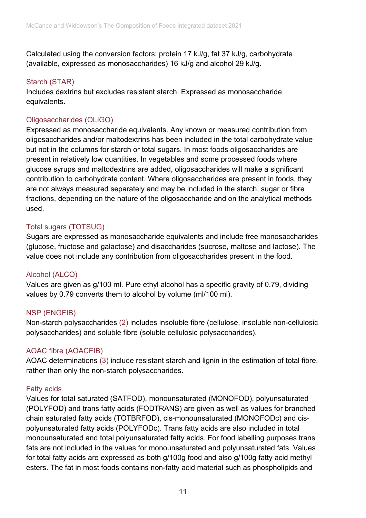Calculated using the conversion factors: protein 17 kJ/g, fat 37 kJ/g, carbohydrate (available, expressed as monosaccharides) 16 kJ/g and alcohol 29 kJ/g.

#### Starch (STAR)

Includes dextrins but excludes resistant starch. Expressed as monosaccharide equivalents.

## Oligosaccharides (OLIGO)

Expressed as monosaccharide equivalents. Any known or measured contribution from oligosaccharides and/or maltodextrins has been included in the total carbohydrate value but not in the columns for starch or total sugars. In most foods oligosaccharides are present in relatively low quantities. In vegetables and some processed foods where glucose syrups and maltodextrins are added, oligosaccharides will make a significant contribution to carbohydrate content. Where oligosaccharides are present in foods, they are not always measured separately and may be included in the starch, sugar or fibre fractions, depending on the nature of the oligosaccharide and on the analytical methods used.

## Total sugars (TOTSUG)

Sugars are expressed as monosaccharide equivalents and include free monosaccharides (glucose, fructose and galactose) and disaccharides (sucrose, maltose and lactose). The value does not include any contribution from oligosaccharides present in the food.

## Alcohol (ALCO)

Values are given as g/100 ml. Pure ethyl alcohol has a specific gravity of 0.79, dividing values by 0.79 converts them to alcohol by volume (ml/100 ml).

## NSP (ENGFIB)

Non-starch polysaccharides [\(2\)](#page-35-2) includes insoluble fibre (cellulose, insoluble non-cellulosic polysaccharides) and soluble fibre (soluble cellulosic polysaccharides).

## AOAC fibre (AOACFIB)

AOAC determinations [\(3\)](#page-35-3) include resistant starch and lignin in the estimation of total fibre, rather than only the non-starch polysaccharides.

## Fatty acids

Values for total saturated (SATFOD), monounsaturated (MONOFOD), polyunsaturated (POLYFOD) and trans fatty acids (FODTRANS) are given as well as values for branched chain saturated fatty acids (TOTBRFOD), cis-monounsaturated (MONOFODc) and cispolyunsaturated fatty acids (POLYFODc). Trans fatty acids are also included in total monounsaturated and total polyunsaturated fatty acids. For food labelling purposes trans fats are not included in the values for monounsaturated and polyunsaturated fats. Values for total fatty acids are expressed as both g/100g food and also g/100g fatty acid methyl esters. The fat in most foods contains non-fatty acid material such as phospholipids and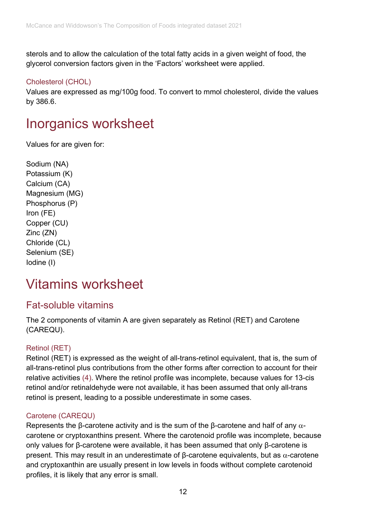sterols and to allow the calculation of the total fatty acids in a given weight of food, the glycerol conversion factors given in the 'Factors' worksheet were applied.

#### Cholesterol (CHOL)

Values are expressed as mg/100g food. To convert to mmol cholesterol, divide the values by 386.6.

## <span id="page-11-0"></span>Inorganics worksheet

Values for are given for:

```
Sodium (NA)
Potassium (K)
Calcium (CA)
Magnesium (MG)
Phosphorus (P)
Iron (FE)
Copper (CU)
Zinc (ZN)
Chloride (CL)
Selenium (SE)
Iodine (I)
```
## <span id="page-11-1"></span>Vitamins worksheet

## Fat-soluble vitamins

The 2 components of vitamin A are given separately as Retinol (RET) and Carotene (CAREQU).

## Retinol (RET)

Retinol (RET) is expressed as the weight of all-trans-retinol equivalent, that is, the sum of all-trans-retinol plus contributions from the other forms after correction to account for their relative activities [\(4\).](#page-35-4) Where the retinol profile was incomplete, because values for 13-cis retinol and/or retinaldehyde were not available, it has been assumed that only all-trans retinol is present, leading to a possible underestimate in some cases.

## Carotene (CAREQU)

Represents the β-carotene activity and is the sum of the β-carotene and half of any  $\alpha$ carotene or cryptoxanthins present. Where the carotenoid profile was incomplete, because only values for β-carotene were available, it has been assumed that only β-carotene is present. This may result in an underestimate of β-carotene equivalents, but as  $α$ -carotene and cryptoxanthin are usually present in low levels in foods without complete carotenoid profiles, it is likely that any error is small.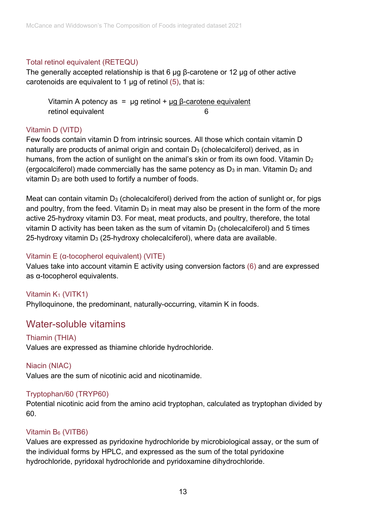## Total retinol equivalent (RETEQU)

The generally accepted relationship is that 6 µg β-carotene or 12 µg of other active carotenoids are equivalent to 1  $\mu$ g of retinol [\(5\),](#page-35-5) that is:

Vitamin A potency as =  $\mu$ g retinol +  $\mu$ g β-carotene equivalent retinol equivalent 6

## Vitamin D (VITD)

Few foods contain vitamin D from intrinsic sources. All those which contain vitamin D naturally are products of animal origin and contain D<sub>3</sub> (cholecalciferol) derived, as in humans, from the action of sunlight on the animal's skin or from its own food. Vitamin  $D_2$ (ergocalciferol) made commercially has the same potency as  $D_3$  in man. Vitamin  $D_2$  and vitamin D<sub>3</sub> are both used to fortify a number of foods.

Meat can contain vitamin  $D_3$  (cholecalciferol) derived from the action of sunlight or, for pigs and poultry, from the feed. Vitamin  $D_3$  in meat may also be present in the form of the more active 25-hydroxy vitamin D3. For meat, meat products, and poultry, therefore, the total vitamin D activity has been taken as the sum of vitamin  $D_3$  (cholecalciferol) and 5 times 25-hydroxy vitamin  $D_3$  (25-hydroxy cholecalciferol), where data are available.

## Vitamin E (α-tocopherol equivalent) (VITE)

Values take into account vitamin E activity using conversion factors [\(6\)](#page-35-6) and are expressed as α-tocopherol equivalents.

## Vitamin K<sub>1</sub> (VITK1) Phylloquinone, the predominant, naturally-occurring, vitamin K in foods.

## Water-soluble vitamins

## Thiamin (THIA)

Values are expressed as thiamine chloride hydrochloride.

Niacin (NIAC)

Values are the sum of nicotinic acid and nicotinamide.

## Tryptophan/60 (TRYP60)

Potential nicotinic acid from the amino acid tryptophan, calculated as tryptophan divided by 60.

## Vitamin B6 (VITB6)

Values are expressed as pyridoxine hydrochloride by microbiological assay, or the sum of the individual forms by HPLC, and expressed as the sum of the total pyridoxine hydrochloride, pyridoxal hydrochloride and pyridoxamine dihydrochloride.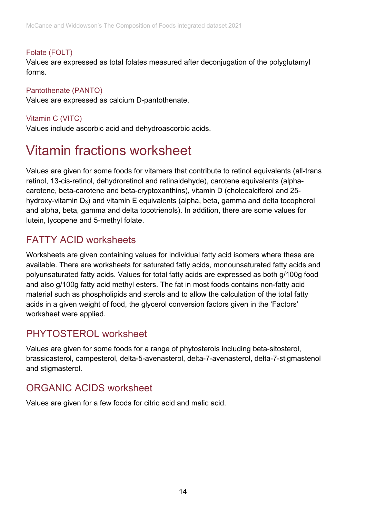## Folate (FOLT)

Values are expressed as total folates measured after deconjugation of the polyglutamyl forms.

## Pantothenate (PANTO)

Values are expressed as calcium D-pantothenate.

## Vitamin C (VITC)

Values include ascorbic acid and dehydroascorbic acids.

# <span id="page-13-0"></span>Vitamin fractions worksheet

Values are given for some foods for vitamers that contribute to retinol equivalents (all-trans retinol, 13-cis-retinol, dehydroretinol and retinaldehyde), carotene equivalents (alphacarotene, beta-carotene and beta-cryptoxanthins), vitamin D (cholecalciferol and 25 hydroxy-vitamin D3) and vitamin E equivalents (alpha, beta, gamma and delta tocopherol and alpha, beta, gamma and delta tocotrienols). In addition, there are some values for lutein, lycopene and 5-methyl folate.

## FATTY ACID worksheets

Worksheets are given containing values for individual fatty acid isomers where these are available. There are worksheets for saturated fatty acids, monounsaturated fatty acids and polyunsaturated fatty acids. Values for total fatty acids are expressed as both g/100g food and also g/100g fatty acid methyl esters. The fat in most foods contains non-fatty acid material such as phospholipids and sterols and to allow the calculation of the total fatty acids in a given weight of food, the glycerol conversion factors given in the 'Factors' worksheet were applied.

## PHYTOSTEROL worksheet

Values are given for some foods for a range of phytosterols including beta-sitosterol, brassicasterol, campesterol, delta-5-avenasterol, delta-7-avenasterol, delta-7-stigmastenol and stigmasterol.

## ORGANIC ACIDS worksheet

Values are given for a few foods for citric acid and malic acid.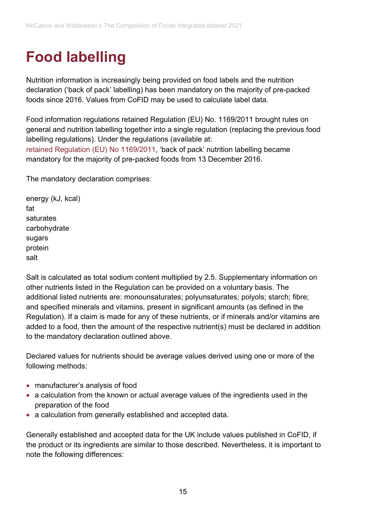# <span id="page-14-0"></span>**Food labelling**

Nutrition information is increasingly being provided on food labels and the nutrition declaration ('back of pack' labelling) has been mandatory on the majority of pre-packed foods since 2016. Values from CoFID may be used to calculate label data.

Food information regulations retained Regulation (EU) No. 1169/2011 brought rules on general and nutrition labelling together into a single regulation (replacing the previous food labelling regulations). Under the regulations (available at: [retained Regulation \(EU\) No 1169/2011,](https://eur01.safelinks.protection.outlook.com/?url=https%3A%2F%2Fwww.legislation.gov.uk%2Feur%2F2011%2F1169%2Fcontents&data=04%7C01%7CNatasha.Powell%40phe.gov.uk%7Cb4635e347d5d4110936808d8e53efbd6%7Cee4e14994a354b2ead475f3cf9de8666%7C0%7C0%7C637511405972561781%7CUnknown%7CTWFpbGZsb3d8eyJWIjoiMC4wLjAwMDAiLCJQIjoiV2luMzIiLCJBTiI6Ik1haWwiLCJXVCI6Mn0%3D%7C1000&sdata=OQ09TtZGsWk5%2FmhUtudw3VL1jbALXrq6P92LwJa9tZQ%3D&reserved=0) 'back of pack' nutrition labelling became mandatory for the majority of pre-packed foods from 13 December 2016.

The mandatory declaration comprises:

energy (kJ, kcal) fat saturates carbohydrate sugars protein salt

Salt is calculated as total sodium content multiplied by 2.5. Supplementary information on other nutrients listed in the Regulation can be provided on a voluntary basis. The additional listed nutrients are: monounsaturates; polyunsaturates; polyols; starch; fibre; and specified minerals and vitamins, present in significant amounts (as defined in the Regulation). If a claim is made for any of these nutrients, or if minerals and/or vitamins are added to a food, then the amount of the respective nutrient(s) must be declared in addition to the mandatory declaration outlined above.

Declared values for nutrients should be average values derived using one or more of the following methods:

- manufacturer's analysis of food
- a calculation from the known or actual average values of the ingredients used in the preparation of the food
- a calculation from generally established and accepted data.

Generally established and accepted data for the UK include values published in CoFID, if the product or its ingredients are similar to those described. Nevertheless, it is important to note the following differences: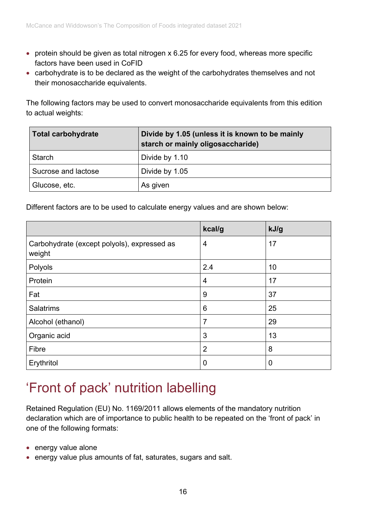- protein should be given as total nitrogen x 6.25 for every food, whereas more specific factors have been used in CoFID
- carbohydrate is to be declared as the weight of the carbohydrates themselves and not their monosaccharide equivalents.

The following factors may be used to convert monosaccharide equivalents from this edition to actual weights:

| Total carbohydrate  | Divide by 1.05 (unless it is known to be mainly<br>starch or mainly oligosaccharide) |
|---------------------|--------------------------------------------------------------------------------------|
| <b>Starch</b>       | Divide by 1.10                                                                       |
| Sucrose and lactose | Divide by 1.05                                                                       |
| Glucose, etc.       | As given                                                                             |

Different factors are to be used to calculate energy values and are shown below:

|                                                       | kcal/g         | kJ/g           |
|-------------------------------------------------------|----------------|----------------|
| Carbohydrate (except polyols), expressed as<br>weight | 4              | 17             |
| Polyols                                               | 2.4            | 10             |
| Protein                                               | $\overline{4}$ | 17             |
| Fat                                                   | 9              | 37             |
| <b>Salatrims</b>                                      | 6              | 25             |
| Alcohol (ethanol)                                     | $\overline{7}$ | 29             |
| Organic acid                                          | 3              | 13             |
| Fibre                                                 | $\overline{2}$ | 8              |
| Erythritol                                            | 0              | $\overline{0}$ |

## <span id="page-15-0"></span>'Front of pack' nutrition labelling

Retained Regulation (EU) No. 1169/2011 allows elements of the mandatory nutrition declaration which are of importance to public health to be repeated on the 'front of pack' in one of the following formats:

- energy value alone
- energy value plus amounts of fat, saturates, sugars and salt.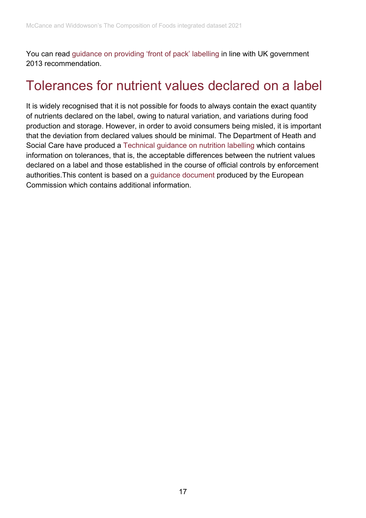You can read [guidance on providing 'front of pack' labelling](http://www.gov.uk/government/publications/front-of-pack-nutrition-labelling-guidance) in line with UK government 2013 recommendation.

## <span id="page-16-0"></span>Tolerances for nutrient values declared on a label

It is widely recognised that it is not possible for foods to always contain the exact quantity of nutrients declared on the label, owing to natural variation, and variations during food production and storage. However, in order to avoid consumers being misled, it is important that the deviation from declared values should be minimal. The Department of Heath and Social Care have produced a [Technical guidance on nutrition labelling](https://assets.publishing.service.gov.uk/government/uploads/system/uploads/attachment_data/file/595961/Nutrition_Technical_Guidance.pdf) which contains information on tolerances, that is, the acceptable differences between the nutrient values declared on a label and those established in the course of official controls by enforcement authorities.This content is based on a [guidance document](https://ec.europa.eu/food/sites/food/files/safety/docs/labelling_nutrition-vitamins_minerals-guidance_tolerances_1212_en.pdf) produced by the European Commission which contains additional information.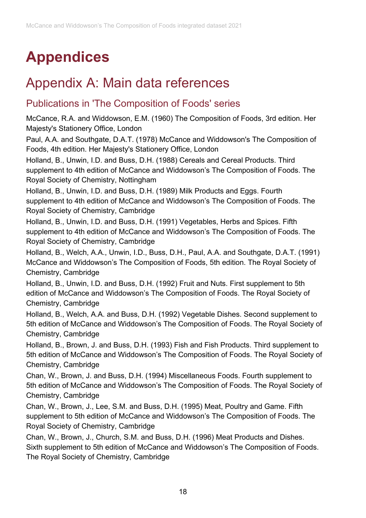# <span id="page-17-0"></span>**Appendices**

# <span id="page-17-1"></span>Appendix A: Main data references

## Publications in 'The Composition of Foods' series

McCance, R.A. and Widdowson, E.M. (1960) The Composition of Foods, 3rd edition. Her Majesty's Stationery Office, London

Paul, A.A. and Southgate, D.A.T. (1978) McCance and Widdowson's The Composition of Foods, 4th edition. Her Majesty's Stationery Office, London

Holland, B., Unwin, I.D. and Buss, D.H. (1988) Cereals and Cereal Products. Third supplement to 4th edition of McCance and Widdowson's The Composition of Foods. The Royal Society of Chemistry, Nottingham

Holland, B., Unwin, I.D. and Buss, D.H. (1989) Milk Products and Eggs. Fourth supplement to 4th edition of McCance and Widdowson's The Composition of Foods. The Royal Society of Chemistry, Cambridge

Holland, B., Unwin, I.D. and Buss, D.H. (1991) Vegetables, Herbs and Spices. Fifth supplement to 4th edition of McCance and Widdowson's The Composition of Foods. The Royal Society of Chemistry, Cambridge

Holland, B., Welch, A.A., Unwin, I.D., Buss, D.H., Paul, A.A. and Southgate, D.A.T. (1991) McCance and Widdowson's The Composition of Foods, 5th edition. The Royal Society of Chemistry, Cambridge

Holland, B., Unwin, I.D. and Buss, D.H. (1992) Fruit and Nuts. First supplement to 5th edition of McCance and Widdowson's The Composition of Foods. The Royal Society of Chemistry, Cambridge

Holland, B., Welch, A.A. and Buss, D.H. (1992) Vegetable Dishes. Second supplement to 5th edition of McCance and Widdowson's The Composition of Foods. The Royal Society of Chemistry, Cambridge

Holland, B., Brown, J. and Buss, D.H. (1993) Fish and Fish Products. Third supplement to 5th edition of McCance and Widdowson's The Composition of Foods. The Royal Society of Chemistry, Cambridge

Chan, W., Brown, J. and Buss, D.H. (1994) Miscellaneous Foods. Fourth supplement to 5th edition of McCance and Widdowson's The Composition of Foods. The Royal Society of Chemistry, Cambridge

Chan, W., Brown, J., Lee, S.M. and Buss, D.H. (1995) Meat, Poultry and Game. Fifth supplement to 5th edition of McCance and Widdowson's The Composition of Foods. The Royal Society of Chemistry, Cambridge

Chan, W., Brown, J., Church, S.M. and Buss, D.H. (1996) Meat Products and Dishes. Sixth supplement to 5th edition of McCance and Widdowson's The Composition of Foods. The Royal Society of Chemistry, Cambridge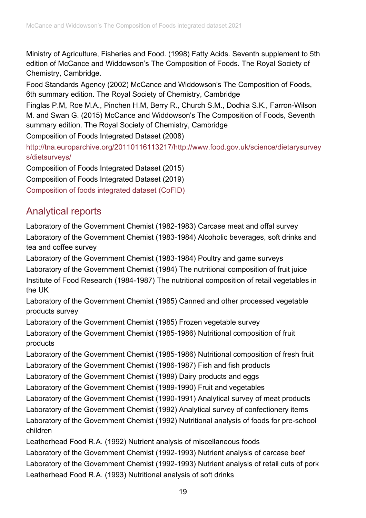Ministry of Agriculture, Fisheries and Food. (1998) Fatty Acids. Seventh supplement to 5th edition of McCance and Widdowson's The Composition of Foods. The Royal Society of Chemistry, Cambridge.

Food Standards Agency (2002) McCance and Widdowson's The Composition of Foods, 6th summary edition. The Royal Society of Chemistry, Cambridge

Finglas P.M, Roe M.A., Pinchen H.M, Berry R., Church S.M., Dodhia S.K., Farron-Wilson M. and Swan G. (2015) McCance and Widdowson's The Composition of Foods, Seventh summary edition. The Royal Society of Chemistry, Cambridge

Composition of Foods Integrated Dataset (2008)

[http://tna.europarchive.org/20110116113217/http://www.food.gov.uk/science/dietarysurvey](http://tna.europarchive.org/20110116113217/http:/www.food.gov.uk/science/dietarysurveys/dietsurveys/) [s/dietsurveys/](http://tna.europarchive.org/20110116113217/http:/www.food.gov.uk/science/dietarysurveys/dietsurveys/)

Composition of Foods Integrated Dataset (2015)

Composition of Foods Integrated Dataset (2019)

[Composition of foods integrated dataset \(CoFID\)](https://www.gov.uk/government/publications/composition-of-foods-integrated-dataset-cofid)

## Analytical reports

Laboratory of the Government Chemist (1982-1983) Carcase meat and offal survey Laboratory of the Government Chemist (1983-1984) Alcoholic beverages, soft drinks and tea and coffee survey

Laboratory of the Government Chemist (1983-1984) Poultry and game surveys Laboratory of the Government Chemist (1984) The nutritional composition of fruit juice Institute of Food Research (1984-1987) The nutritional composition of retail vegetables in the UK

Laboratory of the Government Chemist (1985) Canned and other processed vegetable products survey

Laboratory of the Government Chemist (1985) Frozen vegetable survey Laboratory of the Government Chemist (1985-1986) Nutritional composition of fruit products

Laboratory of the Government Chemist (1985-1986) Nutritional composition of fresh fruit Laboratory of the Government Chemist (1986-1987) Fish and fish products

Laboratory of the Government Chemist (1989) Dairy products and eggs

Laboratory of the Government Chemist (1989-1990) Fruit and vegetables

Laboratory of the Government Chemist (1990-1991) Analytical survey of meat products

Laboratory of the Government Chemist (1992) Analytical survey of confectionery items

Laboratory of the Government Chemist (1992) Nutritional analysis of foods for pre-school children

Leatherhead Food R.A. (1992) Nutrient analysis of miscellaneous foods

Laboratory of the Government Chemist (1992-1993) Nutrient analysis of carcase beef Laboratory of the Government Chemist (1992-1993) Nutrient analysis of retail cuts of pork Leatherhead Food R.A. (1993) Nutritional analysis of soft drinks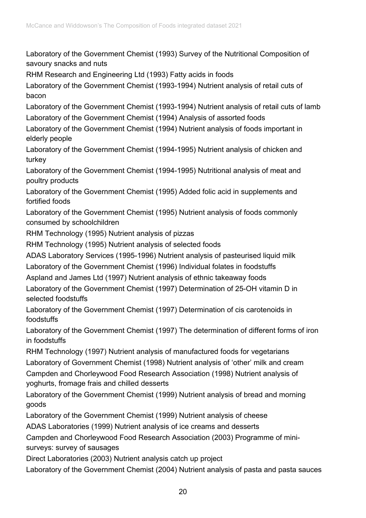Laboratory of the Government Chemist (1993) Survey of the Nutritional Composition of savoury snacks and nuts

RHM Research and Engineering Ltd (1993) Fatty acids in foods

Laboratory of the Government Chemist (1993-1994) Nutrient analysis of retail cuts of bacon

Laboratory of the Government Chemist (1993-1994) Nutrient analysis of retail cuts of lamb Laboratory of the Government Chemist (1994) Analysis of assorted foods

Laboratory of the Government Chemist (1994) Nutrient analysis of foods important in elderly people

Laboratory of the Government Chemist (1994-1995) Nutrient analysis of chicken and turkey

Laboratory of the Government Chemist (1994-1995) Nutritional analysis of meat and poultry products

Laboratory of the Government Chemist (1995) Added folic acid in supplements and fortified foods

Laboratory of the Government Chemist (1995) Nutrient analysis of foods commonly consumed by schoolchildren

RHM Technology (1995) Nutrient analysis of pizzas

RHM Technology (1995) Nutrient analysis of selected foods

ADAS Laboratory Services (1995-1996) Nutrient analysis of pasteurised liquid milk

Laboratory of the Government Chemist (1996) Individual folates in foodstuffs

Aspland and James Ltd (1997) Nutrient analysis of ethnic takeaway foods

Laboratory of the Government Chemist (1997) Determination of 25-OH vitamin D in selected foodstuffs

Laboratory of the Government Chemist (1997) Determination of cis carotenoids in foodstuffs

Laboratory of the Government Chemist (1997) The determination of different forms of iron in foodstuffs

RHM Technology (1997) Nutrient analysis of manufactured foods for vegetarians Laboratory of Government Chemist (1998) Nutrient analysis of 'other' milk and cream

Campden and Chorleywood Food Research Association (1998) Nutrient analysis of yoghurts, fromage frais and chilled desserts

Laboratory of the Government Chemist (1999) Nutrient analysis of bread and morning goods

Laboratory of the Government Chemist (1999) Nutrient analysis of cheese

ADAS Laboratories (1999) Nutrient analysis of ice creams and desserts

Campden and Chorleywood Food Research Association (2003) Programme of minisurveys: survey of sausages

Direct Laboratories (2003) Nutrient analysis catch up project

Laboratory of the Government Chemist (2004) Nutrient analysis of pasta and pasta sauces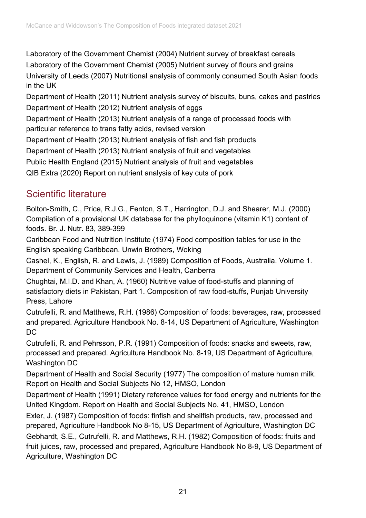Laboratory of the Government Chemist (2004) Nutrient survey of breakfast cereals Laboratory of the Government Chemist (2005) Nutrient survey of flours and grains University of Leeds (2007) Nutritional analysis of commonly consumed South Asian foods in the UK

Department of Health (2011) Nutrient analysis survey of biscuits, buns, cakes and pastries Department of Health (2012) Nutrient analysis of eggs

Department of Health (2013) Nutrient analysis of a range of processed foods with particular reference to trans fatty acids, revised version

Department of Health (2013) Nutrient analysis of fish and fish products

Department of Health (2013) Nutrient analysis of fruit and vegetables

Public Health England (2015) Nutrient analysis of fruit and vegetables

QIB Extra (2020) Report on nutrient analysis of key cuts of pork

## Scientific literature

Bolton-Smith, C., Price, R.J.G., Fenton, S.T., Harrington, D.J. and Shearer, M.J. (2000) Compilation of a provisional UK database for the phylloquinone (vitamin K1) content of foods. Br. J. Nutr. 83, 389-399

Caribbean Food and Nutrition Institute (1974) Food composition tables for use in the English speaking Caribbean. Unwin Brothers, Woking

Cashel, K., English, R. and Lewis, J. (1989) Composition of Foods, Australia. Volume 1. Department of Community Services and Health, Canberra

Chughtai, M.I.D. and Khan, A. (1960) Nutritive value of food-stuffs and planning of satisfactory diets in Pakistan, Part 1. Composition of raw food-stuffs, Punjab University Press, Lahore

Cutrufelli, R. and Matthews, R.H. (1986) Composition of foods: beverages, raw, processed and prepared. Agriculture Handbook No. 8-14, US Department of Agriculture, Washington DC

Cutrufelli, R. and Pehrsson, P.R. (1991) Composition of foods: snacks and sweets, raw, processed and prepared. Agriculture Handbook No. 8-19, US Department of Agriculture, Washington DC

Department of Health and Social Security (1977) The composition of mature human milk. Report on Health and Social Subjects No 12, HMSO, London

Department of Health (1991) Dietary reference values for food energy and nutrients for the United Kingdom. Report on Health and Social Subjects No. 41, HMSO, London

Exler, J. (1987) Composition of foods: finfish and shellfish products, raw, processed and prepared, Agriculture Handbook No 8-15, US Department of Agriculture, Washington DC Gebhardt, S.E., Cutrufelli, R. and Matthews, R.H. (1982) Composition of foods: fruits and fruit juices, raw, processed and prepared, Agriculture Handbook No 8-9, US Department of Agriculture, Washington DC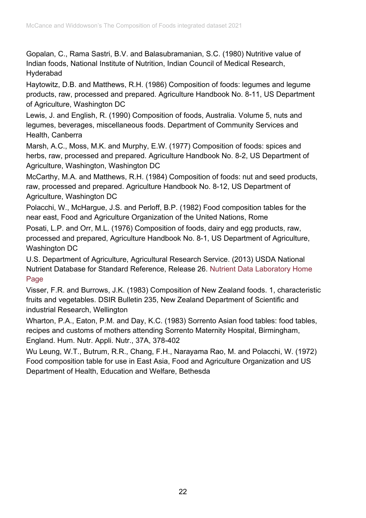Gopalan, C., Rama Sastri, B.V. and Balasubramanian, S.C. (1980) Nutritive value of Indian foods, National Institute of Nutrition, Indian Council of Medical Research, Hyderabad

Haytowitz, D.B. and Matthews, R.H. (1986) Composition of foods: legumes and legume products, raw, processed and prepared. Agriculture Handbook No. 8-11, US Department of Agriculture, Washington DC

Lewis, J. and English, R. (1990) Composition of foods, Australia. Volume 5, nuts and legumes, beverages, miscellaneous foods. Department of Community Services and Health, Canberra

Marsh, A.C., Moss, M.K. and Murphy, E.W. (1977) Composition of foods: spices and herbs, raw, processed and prepared. Agriculture Handbook No. 8-2, US Department of Agriculture, Washington, Washington DC

McCarthy, M.A. and Matthews, R.H. (1984) Composition of foods: nut and seed products, raw, processed and prepared. Agriculture Handbook No. 8-12, US Department of Agriculture, Washington DC

Polacchi, W., McHargue, J.S. and Perloff, B.P. (1982) Food composition tables for the near east, Food and Agriculture Organization of the United Nations, Rome

Posati, L.P. and Orr, M.L. (1976) Composition of foods, dairy and egg products, raw, processed and prepared, Agriculture Handbook No. 8-1, US Department of Agriculture, Washington DC

U.S. Department of Agriculture, Agricultural Research Service. (2013) USDA National Nutrient Database for Standard Reference, Release 26. [Nutrient Data Laboratory Home](http://www.ars.usda.gov/ba/bhnrc/ndl)  [Page](http://www.ars.usda.gov/ba/bhnrc/ndl)

Visser, F.R. and Burrows, J.K. (1983) Composition of New Zealand foods. 1, characteristic fruits and vegetables. DSIR Bulletin 235, New Zealand Department of Scientific and industrial Research, Wellington

Wharton, P.A., Eaton, P.M. and Day, K.C. (1983) Sorrento Asian food tables: food tables, recipes and customs of mothers attending Sorrento Maternity Hospital, Birmingham, England. Hum. Nutr. Appli. Nutr., 37A, 378-402

Wu Leung, W.T., Butrum, R.R., Chang, F.H., Narayama Rao, M. and Polacchi, W. (1972) Food composition table for use in East Asia, Food and Agriculture Organization and US Department of Health, Education and Welfare, Bethesda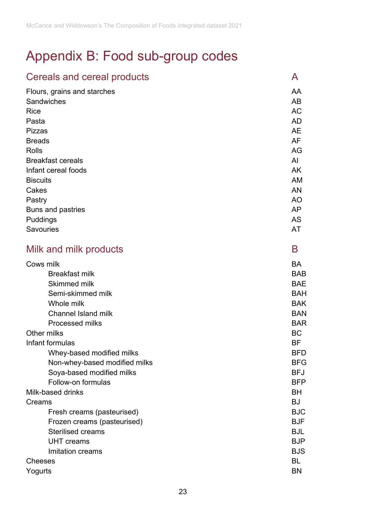# <span id="page-22-0"></span>Appendix B: Food sub-group codes

| Cereals and cereal products   | A          |
|-------------------------------|------------|
| Flours, grains and starches   | AA         |
| Sandwiches                    | AB         |
| <b>Rice</b>                   | <b>AC</b>  |
| Pasta                         | <b>AD</b>  |
| Pizzas                        | <b>AE</b>  |
| <b>Breads</b>                 | <b>AF</b>  |
| <b>Rolls</b>                  | AG         |
| <b>Breakfast cereals</b>      | AI         |
| Infant cereal foods           | <b>AK</b>  |
| <b>Biscuits</b>               | AM         |
| Cakes                         | AN         |
| Pastry                        | <b>AO</b>  |
| <b>Buns and pastries</b>      | AP         |
| Puddings                      | AS         |
| <b>Savouries</b>              | AT         |
| Milk and milk products        | B          |
| Cows milk                     | BA         |
| <b>Breakfast milk</b>         | <b>BAB</b> |
| <b>Skimmed milk</b>           | <b>BAE</b> |
| Semi-skimmed milk             | <b>BAH</b> |
| Whole milk                    | <b>BAK</b> |
| <b>Channel Island milk</b>    | <b>BAN</b> |
| Processed milks               | <b>BAR</b> |
| Other milks                   | <b>BC</b>  |
| Infant formulas               | <b>BF</b>  |
| Whey-based modified milks     | <b>BFD</b> |
| Non-whey-based modified milks | <b>BFG</b> |
| Soya-based modified milks     | <b>BFJ</b> |
| Follow-on formulas            | <b>BFP</b> |
| Milk-based drinks             | BH         |
| Creams                        | <b>BJ</b>  |
| Fresh creams (pasteurised)    | <b>BJC</b> |
| Frozen creams (pasteurised)   | <b>BJF</b> |
| <b>Sterilised creams</b>      | <b>BJL</b> |
| <b>UHT</b> creams             | <b>BJP</b> |
| Imitation creams              | <b>BJS</b> |
| <b>Cheeses</b>                | BL         |
| Yogurts                       | <b>BN</b>  |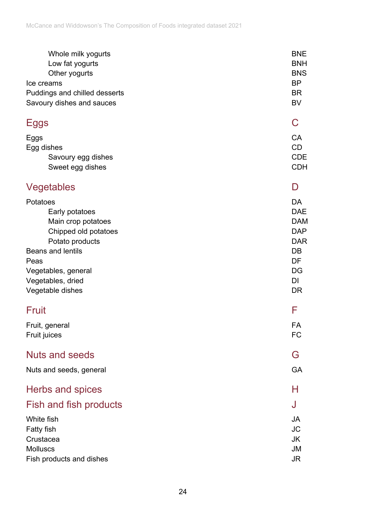| Whole milk yogurts            | <b>BNE</b> |
|-------------------------------|------------|
| Low fat yogurts               | <b>BNH</b> |
| Other yogurts                 | <b>BNS</b> |
| Ice creams                    | <b>BP</b>  |
| Puddings and chilled desserts | <b>BR</b>  |
| Savoury dishes and sauces     | <b>BV</b>  |
| <b>Eggs</b>                   | C          |
| Eggs                          | <b>CA</b>  |
| Egg dishes                    | <b>CD</b>  |
| Savoury egg dishes            | <b>CDE</b> |
| Sweet egg dishes              | <b>CDH</b> |
| Vegetables                    | D          |
| Potatoes                      | <b>DA</b>  |
| Early potatoes                | <b>DAE</b> |
| Main crop potatoes            | <b>DAM</b> |
| Chipped old potatoes          | <b>DAP</b> |
| Potato products               | <b>DAR</b> |
| <b>Beans and lentils</b>      | <b>DB</b>  |
| Peas                          | DF         |
| Vegetables, general           | DG         |
| Vegetables, dried             | DI         |
| Vegetable dishes              | <b>DR</b>  |
| <b>Fruit</b>                  | F          |
| Fruit, general                | FA         |
| Fruit juices                  | <b>FC</b>  |
| <b>Nuts and seeds</b>         | G          |
| Nuts and seeds, general       | GA         |
| Herbs and spices              | н          |
| Fish and fish products        | J          |
| White fish                    | <b>JA</b>  |
| <b>Fatty fish</b>             | <b>JC</b>  |
| Crustacea                     | <b>JK</b>  |
| <b>Molluscs</b>               | <b>JM</b>  |
| Fish products and dishes      | <b>JR</b>  |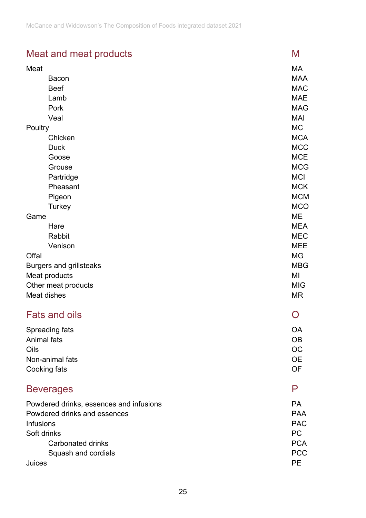## Meat and meat products Meat and meat products

| Meat                                    | МA             |
|-----------------------------------------|----------------|
| <b>Bacon</b>                            | <b>MAA</b>     |
| <b>Beef</b>                             | <b>MAC</b>     |
| Lamb                                    | <b>MAE</b>     |
| Pork                                    | <b>MAG</b>     |
| Veal                                    | MAI            |
| Poultry                                 | МC             |
| Chicken                                 | <b>MCA</b>     |
| <b>Duck</b>                             | <b>MCC</b>     |
| Goose                                   | <b>MCE</b>     |
| Grouse                                  | <b>MCG</b>     |
| Partridge                               | <b>MCI</b>     |
| Pheasant                                | <b>MCK</b>     |
| Pigeon                                  | <b>MCM</b>     |
| Turkey                                  | <b>MCO</b>     |
| Game                                    | ME             |
| Hare                                    | <b>MEA</b>     |
| Rabbit                                  | <b>MEC</b>     |
| Venison                                 | <b>MEE</b>     |
| Offal                                   | MG             |
| <b>Burgers and grillsteaks</b>          | <b>MBG</b>     |
| Meat products                           | MI             |
| Other meat products                     | <b>MIG</b>     |
| Meat dishes                             | <b>MR</b>      |
| <b>Fats and oils</b>                    | $\overline{C}$ |
| Spreading fats                          | <b>OA</b>      |
| Animal fats                             | <b>OB</b>      |
| Oils                                    | <b>OC</b>      |
| Non-animal fats                         | <b>OE</b>      |
| Cooking fats                            | OF             |
|                                         |                |
| <b>Beverages</b>                        | P              |
| Powdered drinks, essences and infusions | <b>PA</b>      |
| Powdered drinks and essences            | <b>PAA</b>     |
| <b>Infusions</b>                        |                |
| Soft drinks                             | <b>PC</b>      |
| <b>Carbonated drinks</b>                | <b>PCA</b>     |
| Squash and cordials                     | <b>PCC</b>     |
| Juices                                  | <b>PE</b>      |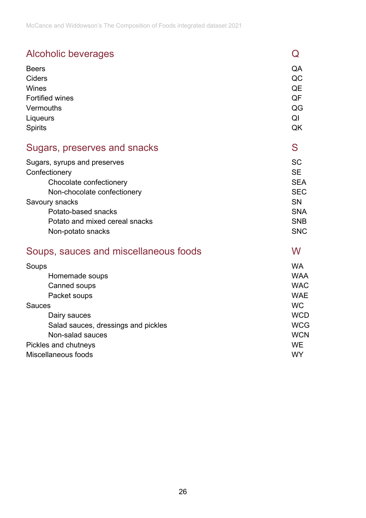| Alcoholic beverages                   | Q          |
|---------------------------------------|------------|
| <b>Beers</b>                          | QA         |
| Ciders                                | QC         |
| Wines                                 | QE         |
| <b>Fortified wines</b>                | QF         |
| Vermouths                             | QG         |
| Liqueurs                              | QI         |
| <b>Spirits</b>                        | QK         |
| Sugars, preserves and snacks          | S          |
| Sugars, syrups and preserves          | <b>SC</b>  |
| Confectionery                         | <b>SE</b>  |
| Chocolate confectionery               | <b>SEA</b> |
| Non-chocolate confectionery           | <b>SEC</b> |
| Savoury snacks                        | <b>SN</b>  |
| Potato-based snacks                   | <b>SNA</b> |
| Potato and mixed cereal snacks        | <b>SNB</b> |
| Non-potato snacks                     | <b>SNC</b> |
| Soups, sauces and miscellaneous foods | W          |
| Soups                                 | <b>WA</b>  |
| Homemade soups                        | <b>WAA</b> |
| Canned soups                          | <b>WAC</b> |
| Packet soups                          | <b>WAE</b> |
| <b>Sauces</b>                         | WC.        |
| Dairy sauces                          | <b>WCD</b> |
| Salad sauces, dressings and pickles   | <b>WCG</b> |
| Non-salad sauces                      | <b>WCN</b> |
| Pickles and chutneys                  | <b>WE</b>  |
| Miscellaneous foods                   | <b>WY</b>  |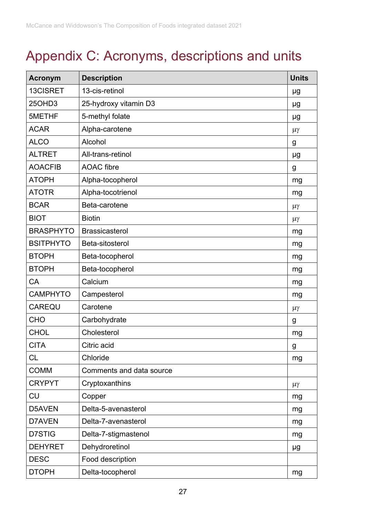# <span id="page-26-0"></span>Appendix C: Acronyms, descriptions and units

| <b>Acronym</b>   | <b>Description</b>       | <b>Units</b> |
|------------------|--------------------------|--------------|
| 13CISRET         | 13-cis-retinol           | μg           |
| 25OHD3           | 25-hydroxy vitamin D3    | μg           |
| 5METHF           | 5-methyl folate          | μg           |
| <b>ACAR</b>      | Alpha-carotene           | $\mu\gamma$  |
| <b>ALCO</b>      | Alcohol                  | g            |
| <b>ALTRET</b>    | All-trans-retinol        | μg           |
| <b>AOACFIB</b>   | <b>AOAC</b> fibre        | g            |
| <b>ATOPH</b>     | Alpha-tocopherol         | mg           |
| <b>ATOTR</b>     | Alpha-tocotrienol        | mg           |
| <b>BCAR</b>      | Beta-carotene            | $\mu\gamma$  |
| <b>BIOT</b>      | <b>Biotin</b>            | $\mu\gamma$  |
| <b>BRASPHYTO</b> | <b>Brassicasterol</b>    | mg           |
| <b>BSITPHYTO</b> | Beta-sitosterol          | mg           |
| <b>BTOPH</b>     | Beta-tocopherol          | mg           |
| <b>BTOPH</b>     | Beta-tocopherol          | mg           |
| CA               | Calcium                  | mg           |
| <b>CAMPHYTO</b>  | Campesterol              | mg           |
| <b>CAREQU</b>    | Carotene                 | $\mu\gamma$  |
| <b>CHO</b>       | Carbohydrate             | g            |
| <b>CHOL</b>      | Cholesterol              | mg           |
| <b>CITA</b>      | Citric acid              | g            |
| <b>CL</b>        | Chloride                 | mg           |
| <b>COMM</b>      | Comments and data source |              |
| <b>CRYPYT</b>    | Cryptoxanthins           | $\mu\gamma$  |
| <b>CU</b>        | Copper                   | mg           |
| D5AVEN           | Delta-5-avenasterol      | mg           |
| D7AVEN           | Delta-7-avenasterol      | mg           |
| D7STIG           | Delta-7-stigmastenol     | mg           |
| <b>DEHYRET</b>   | Dehydroretinol           | μg           |
| <b>DESC</b>      | Food description         |              |
| <b>DTOPH</b>     | Delta-tocopherol         | mg           |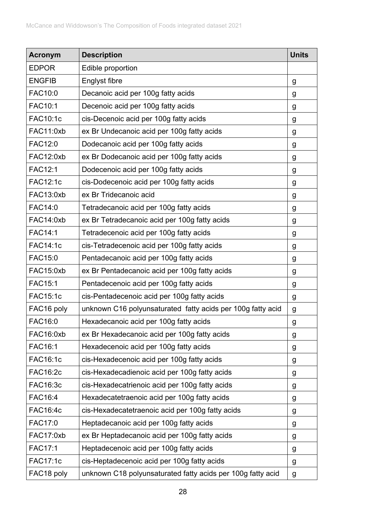| <b>Acronym</b>  | <b>Description</b>                                          | <b>Units</b> |
|-----------------|-------------------------------------------------------------|--------------|
| <b>EDPOR</b>    | Edible proportion                                           |              |
| <b>ENGFIB</b>   | Englyst fibre                                               | g            |
| FAC10:0         | Decanoic acid per 100g fatty acids                          | g            |
| FAC10:1         | Decenoic acid per 100g fatty acids                          | g            |
| <b>FAC10:1c</b> | cis-Decenoic acid per 100g fatty acids                      | g            |
| FAC11:0xb       | ex Br Undecanoic acid per 100g fatty acids                  | g            |
| <b>FAC12:0</b>  | Dodecanoic acid per 100g fatty acids                        | g            |
| FAC12:0xb       | ex Br Dodecanoic acid per 100g fatty acids                  | g            |
| <b>FAC12:1</b>  | Dodecenoic acid per 100g fatty acids                        | g            |
| <b>FAC12:1c</b> | cis-Dodecenoic acid per 100g fatty acids                    | g            |
| FAC13:0xb       | ex Br Tridecanoic acid                                      | g            |
| <b>FAC14:0</b>  | Tetradecanoic acid per 100g fatty acids                     | g            |
| FAC14:0xb       | ex Br Tetradecanoic acid per 100g fatty acids               | g            |
| <b>FAC14:1</b>  | Tetradecenoic acid per 100g fatty acids                     | g            |
| <b>FAC14:1c</b> | cis-Tetradecenoic acid per 100g fatty acids                 | g            |
| <b>FAC15:0</b>  | Pentadecanoic acid per 100g fatty acids                     | g            |
| FAC15:0xb       | ex Br Pentadecanoic acid per 100g fatty acids               | g            |
| <b>FAC15:1</b>  | Pentadecenoic acid per 100g fatty acids                     | g            |
| <b>FAC15:1c</b> | cis-Pentadecenoic acid per 100g fatty acids                 | g            |
| FAC16 poly      | unknown C16 polyunsaturated fatty acids per 100g fatty acid | g            |
| FAC16:0         | Hexadecanoic acid per 100g fatty acids                      | g            |
| FAC16:0xb       | ex Br Hexadecanoic acid per 100g fatty acids                | g            |
| <b>FAC16:1</b>  | Hexadecenoic acid per 100g fatty acids                      | g            |
| <b>FAC16:1c</b> | cis-Hexadecenoic acid per 100g fatty acids                  | g            |
| <b>FAC16:2c</b> | cis-Hexadecadienoic acid per 100g fatty acids               | g            |
| FAC16:3c        | cis-Hexadecatrienoic acid per 100g fatty acids              | g            |
| <b>FAC16:4</b>  | Hexadecatetraenoic acid per 100g fatty acids                | g            |
| <b>FAC16:4c</b> | cis-Hexadecatetraenoic acid per 100g fatty acids            | g            |
| FAC17:0         | Heptadecanoic acid per 100g fatty acids                     | g            |
| FAC17:0xb       | ex Br Heptadecanoic acid per 100g fatty acids               | g            |
| <b>FAC17:1</b>  | Heptadecenoic acid per 100g fatty acids                     | g            |
| <b>FAC17:1c</b> | cis-Heptadecenoic acid per 100g fatty acids                 | g            |
| FAC18 poly      | unknown C18 polyunsaturated fatty acids per 100g fatty acid | g            |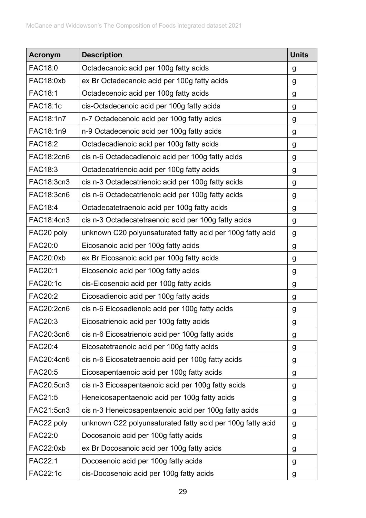| <b>Acronym</b>  | <b>Description</b>                                         | <b>Units</b> |
|-----------------|------------------------------------------------------------|--------------|
| <b>FAC18:0</b>  | Octadecanoic acid per 100g fatty acids                     | g            |
| FAC18:0xb       | ex Br Octadecanoic acid per 100g fatty acids               | g            |
| <b>FAC18:1</b>  | Octadecenoic acid per 100g fatty acids                     | g            |
| <b>FAC18:1c</b> | cis-Octadecenoic acid per 100g fatty acids                 | g            |
| FAC18:1n7       | n-7 Octadecenoic acid per 100g fatty acids                 | g            |
| FAC18:1n9       | n-9 Octadecenoic acid per 100g fatty acids                 | g            |
| <b>FAC18:2</b>  | Octadecadienoic acid per 100g fatty acids                  | g            |
| FAC18:2cn6      | cis n-6 Octadecadienoic acid per 100g fatty acids          | g            |
| FAC18:3         | Octadecatrienoic acid per 100g fatty acids                 | g            |
| FAC18:3cn3      | cis n-3 Octadecatrienoic acid per 100g fatty acids         | g            |
| FAC18:3cn6      | cis n-6 Octadecatrienoic acid per 100g fatty acids         | g            |
| <b>FAC18:4</b>  | Octadecatetraenoic acid per 100g fatty acids               | g            |
| FAC18:4cn3      | cis n-3 Octadecatetraenoic acid per 100g fatty acids       | g            |
| FAC20 poly      | unknown C20 polyunsaturated fatty acid per 100g fatty acid | g            |
| <b>FAC20:0</b>  | Eicosanoic acid per 100g fatty acids                       | g            |
| FAC20:0xb       | ex Br Eicosanoic acid per 100g fatty acids                 | g            |
| <b>FAC20:1</b>  | Eicosenoic acid per 100g fatty acids                       | g            |
| <b>FAC20:1c</b> | cis-Eicosenoic acid per 100g fatty acids                   | g            |
| <b>FAC20:2</b>  | Eicosadienoic acid per 100g fatty acids                    | g            |
| FAC20:2cn6      | cis n-6 Eicosadienoic acid per 100g fatty acids            | g            |
| FAC20:3         | Eicosatrienoic acid per 100g fatty acids                   | g            |
| FAC20:3cn6      | cis n-6 Eicosatrienoic acid per 100g fatty acids           | g            |
| <b>FAC20:4</b>  | Eicosatetraenoic acid per 100g fatty acids                 | g            |
| FAC20:4cn6      | cis n-6 Eicosatetraenoic acid per 100g fatty acids         | g            |
| <b>FAC20:5</b>  | Eicosapentaenoic acid per 100g fatty acids                 | g            |
| FAC20:5cn3      | cis n-3 Eicosapentaenoic acid per 100g fatty acids         | g            |
| FAC21:5         | Heneicosapentaenoic acid per 100g fatty acids              | g            |
| FAC21:5cn3      | cis n-3 Heneicosapentaenoic acid per 100g fatty acids      | g            |
| FAC22 poly      | unknown C22 polyunsaturated fatty acid per 100g fatty acid | g            |
| <b>FAC22:0</b>  | Docosanoic acid per 100g fatty acids                       | g            |
| FAC22:0xb       | ex Br Docosanoic acid per 100g fatty acids                 | g            |
| <b>FAC22:1</b>  | Docosenoic acid per 100g fatty acids                       | g            |
| <b>FAC22:1c</b> | cis-Docosenoic acid per 100g fatty acids                   | g            |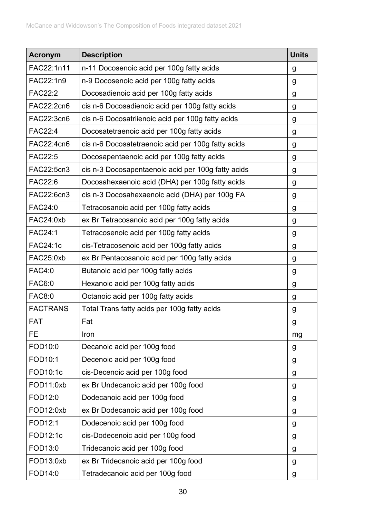| <b>Acronym</b>  | <b>Description</b>                                 | <b>Units</b> |
|-----------------|----------------------------------------------------|--------------|
| FAC22:1n11      | n-11 Docosenoic acid per 100g fatty acids          | g            |
| FAC22:1n9       | n-9 Docosenoic acid per 100g fatty acids           | g            |
| <b>FAC22:2</b>  | Docosadienoic acid per 100g fatty acids            | g            |
| FAC22:2cn6      | cis n-6 Docosadienoic acid per 100g fatty acids    | g            |
| FAC22:3cn6      | cis n-6 Docosatriienoic acid per 100g fatty acids  | g            |
| <b>FAC22:4</b>  | Docosatetraenoic acid per 100g fatty acids         | g            |
| FAC22:4cn6      | cis n-6 Docosatetraenoic acid per 100g fatty acids | g            |
| <b>FAC22:5</b>  | Docosapentaenoic acid per 100g fatty acids         | g            |
| FAC22:5cn3      | cis n-3 Docosapentaenoic acid per 100g fatty acids | g            |
| FAC22:6         | Docosahexaenoic acid (DHA) per 100g fatty acids    | g            |
| FAC22:6cn3      | cis n-3 Docosahexaenoic acid (DHA) per 100g FA     | g            |
| FAC24:0         | Tetracosanoic acid per 100g fatty acids            | g            |
| FAC24:0xb       | ex Br Tetracosanoic acid per 100g fatty acids      | g            |
| <b>FAC24:1</b>  | Tetracosenoic acid per 100g fatty acids            | g            |
| <b>FAC24:1c</b> | cis-Tetracosenoic acid per 100g fatty acids        | g            |
| FAC25:0xb       | ex Br Pentacosanoic acid per 100g fatty acids      | g            |
| <b>FAC4:0</b>   | Butanoic acid per 100g fatty acids                 | g            |
| <b>FAC6:0</b>   | Hexanoic acid per 100g fatty acids                 | g            |
| <b>FAC8:0</b>   | Octanoic acid per 100g fatty acids                 | g            |
| <b>FACTRANS</b> | Total Trans fatty acids per 100g fatty acids       | g            |
| <b>FAT</b>      | Fat                                                | g            |
| FE              | Iron                                               | mg           |
| FOD10:0         | Decanoic acid per 100g food                        | g            |
| FOD10:1         | Decenoic acid per 100g food                        | g            |
| FOD10:1c        | cis-Decenoic acid per 100g food                    | g            |
| FOD11:0xb       | ex Br Undecanoic acid per 100g food                | g            |
| FOD12:0         | Dodecanoic acid per 100g food                      | g            |
| FOD12:0xb       | ex Br Dodecanoic acid per 100g food                | g            |
| FOD12:1         | Dodecenoic acid per 100g food                      | g            |
| FOD12:1c        | cis-Dodecenoic acid per 100g food                  | g            |
| FOD13:0         | Tridecanoic acid per 100g food                     | g            |
| FOD13:0xb       | ex Br Tridecanoic acid per 100g food               | g            |
| FOD14:0         | Tetradecanoic acid per 100g food                   | g            |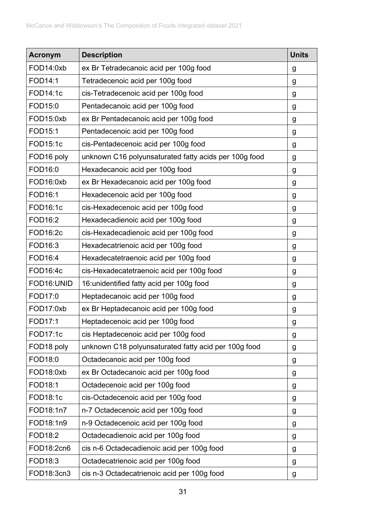| <b>Acronym</b> | <b>Description</b>                                    | <b>Units</b> |
|----------------|-------------------------------------------------------|--------------|
| FOD14:0xb      | ex Br Tetradecanoic acid per 100g food                | g            |
| FOD14:1        | Tetradecenoic acid per 100g food                      | g            |
| FOD14:1c       | cis-Tetradecenoic acid per 100g food                  | g            |
| FOD15:0        | Pentadecanoic acid per 100g food                      | g            |
| FOD15:0xb      | ex Br Pentadecanoic acid per 100g food                | g            |
| FOD15:1        | Pentadecenoic acid per 100g food                      | g            |
| FOD15:1c       | cis-Pentadecenoic acid per 100g food                  | g            |
| FOD16 poly     | unknown C16 polyunsaturated fatty acids per 100g food | g            |
| FOD16:0        | Hexadecanoic acid per 100g food                       | g            |
| FOD16:0xb      | ex Br Hexadecanoic acid per 100g food                 | g            |
| FOD16:1        | Hexadecenoic acid per 100g food                       | g            |
| FOD16:1c       | cis-Hexadecenoic acid per 100g food                   | g            |
| FOD16:2        | Hexadecadienoic acid per 100g food                    | g            |
| FOD16:2c       | cis-Hexadecadienoic acid per 100g food                | g            |
| FOD16:3        | Hexadecatrienoic acid per 100g food                   | g            |
| FOD16:4        | Hexadecatetraenoic acid per 100g food                 | g            |
| FOD16:4c       | cis-Hexadecatetraenoic acid per 100g food             | g            |
| FOD16:UNID     | 16: unidentified fatty acid per 100g food             | g            |
| FOD17:0        | Heptadecanoic acid per 100g food                      | g            |
| FOD17:0xb      | ex Br Heptadecanoic acid per 100g food                | g            |
| FOD17:1        | Heptadecenoic acid per 100g food                      | g            |
| FOD17:1c       | cis Heptadecenoic acid per 100g food                  | g            |
| FOD18 poly     | unknown C18 polyunsaturated fatty acid per 100g food  | g            |
| FOD18:0        | Octadecanoic acid per 100g food                       | g            |
| FOD18:0xb      | ex Br Octadecanoic acid per 100g food                 | g            |
| FOD18:1        | Octadecenoic acid per 100g food                       | g            |
| FOD18:1c       | cis-Octadecenoic acid per 100g food                   | g            |
| FOD18:1n7      | n-7 Octadecenoic acid per 100g food                   | g            |
| FOD18:1n9      | n-9 Octadecenoic acid per 100g food                   | g            |
| FOD18:2        | Octadecadienoic acid per 100g food                    | g            |
| FOD18:2cn6     | cis n-6 Octadecadienoic acid per 100g food            | g            |
| FOD18:3        | Octadecatrienoic acid per 100g food                   | g            |
| FOD18:3cn3     | cis n-3 Octadecatrienoic acid per 100g food           | g            |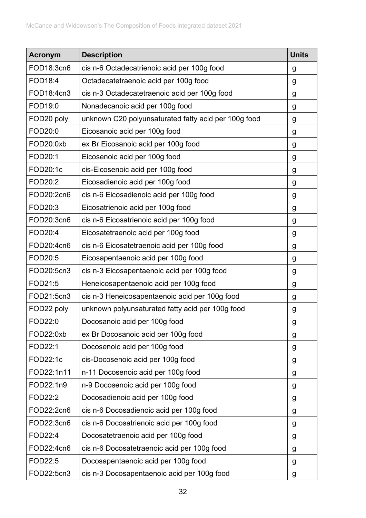| <b>Acronym</b> | <b>Description</b>                                   | <b>Units</b> |
|----------------|------------------------------------------------------|--------------|
| FOD18:3cn6     | cis n-6 Octadecatrienoic acid per 100g food          | g            |
| <b>FOD18:4</b> | Octadecatetraenoic acid per 100g food                | g            |
| FOD18:4cn3     | cis n-3 Octadecatetraenoic acid per 100g food        | g            |
| FOD19:0        | Nonadecanoic acid per 100g food                      | g            |
| FOD20 poly     | unknown C20 polyunsaturated fatty acid per 100g food | g            |
| FOD20:0        | Eicosanoic acid per 100g food                        | g            |
| FOD20:0xb      | ex Br Eicosanoic acid per 100g food                  | g            |
| FOD20:1        | Eicosenoic acid per 100g food                        | g            |
| FOD20:1c       | cis-Eicosenoic acid per 100g food                    | g            |
| FOD20:2        | Eicosadienoic acid per 100g food                     | g            |
| FOD20:2cn6     | cis n-6 Eicosadienoic acid per 100g food             | g            |
| FOD20:3        | Eicosatrienoic acid per 100g food                    | g            |
| FOD20:3cn6     | cis n-6 Eicosatrienoic acid per 100g food            | g            |
| FOD20:4        | Eicosatetraenoic acid per 100g food                  | g            |
| FOD20:4cn6     | cis n-6 Eicosatetraenoic acid per 100g food          | g            |
| FOD20:5        | Eicosapentaenoic acid per 100g food                  | g            |
| FOD20:5cn3     | cis n-3 Eicosapentaenoic acid per 100g food          | g            |
| FOD21:5        | Heneicosapentaenoic acid per 100g food               | g            |
| FOD21:5cn3     | cis n-3 Heneicosapentaenoic acid per 100g food       | g            |
| FOD22 poly     | unknown polyunsaturated fatty acid per 100g food     | g            |
| FOD22:0        | Docosanoic acid per 100g food                        | g            |
| FOD22:0xb      | ex Br Docosanoic acid per 100g food                  | g            |
| FOD22:1        | Docosenoic acid per 100g food                        | g            |
| FOD22:1c       | cis-Docosenoic acid per 100g food                    | g            |
| FOD22:1n11     | n-11 Docosenoic acid per 100g food                   | g            |
| FOD22:1n9      | n-9 Docosenoic acid per 100g food                    | g            |
| FOD22:2        | Docosadienoic acid per 100g food                     | g            |
| FOD22:2cn6     | cis n-6 Docosadienoic acid per 100g food             | g            |
| FOD22:3cn6     | cis n-6 Docosatrienoic acid per 100g food            | g            |
| FOD22:4        | Docosatetraenoic acid per 100g food                  | g            |
| FOD22:4cn6     | cis n-6 Docosatetraenoic acid per 100g food          | g            |
| FOD22:5        | Docosapentaenoic acid per 100g food                  | g            |
| FOD22:5cn3     | cis n-3 Docosapentaenoic acid per 100g food          | g            |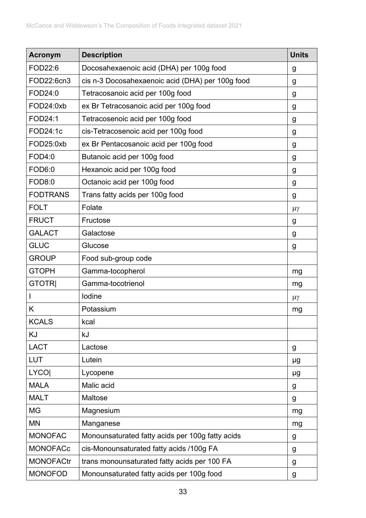| <b>Acronym</b>   | <b>Description</b>                               | <b>Units</b> |
|------------------|--------------------------------------------------|--------------|
| FOD22:6          | Docosahexaenoic acid (DHA) per 100g food         | g            |
| FOD22:6cn3       | cis n-3 Docosahexaenoic acid (DHA) per 100g food | g            |
| FOD24:0          | Tetracosanoic acid per 100g food                 | g            |
| FOD24:0xb        | ex Br Tetracosanoic acid per 100g food           | g            |
| FOD24:1          | Tetracosenoic acid per 100g food                 | g            |
| FOD24:1c         | cis-Tetracosenoic acid per 100g food             | g            |
| FOD25:0xb        | ex Br Pentacosanoic acid per 100g food           | g            |
| <b>FOD4:0</b>    | Butanoic acid per 100g food                      | g            |
| FOD6:0           | Hexanoic acid per 100g food                      | g            |
| <b>FOD8:0</b>    | Octanoic acid per 100g food                      | g            |
| <b>FODTRANS</b>  | Trans fatty acids per 100g food                  | g            |
| <b>FOLT</b>      | Folate                                           | $\mu\gamma$  |
| <b>FRUCT</b>     | Fructose                                         | g            |
| <b>GALACT</b>    | Galactose                                        | g            |
| <b>GLUC</b>      | Glucose                                          | g            |
| <b>GROUP</b>     | Food sub-group code                              |              |
| <b>GTOPH</b>     | Gamma-tocopherol                                 | mg           |
| <b>GTOTRI</b>    | Gamma-tocotrienol                                | mg           |
|                  | lodine                                           | $\mu\gamma$  |
| Κ                | Potassium                                        | mg           |
| <b>KCALS</b>     | kcal                                             |              |
| KJ               | kJ                                               |              |
| <b>LACT</b>      | Lactose                                          | g            |
| <b>LUT</b>       | Lutein                                           | μg           |
| <b>LYCO</b>      | Lycopene                                         | μg           |
| <b>MALA</b>      | Malic acid                                       | g            |
| <b>MALT</b>      | Maltose                                          | g            |
| <b>MG</b>        | Magnesium                                        | mg           |
| MN               | Manganese                                        | mg           |
| <b>MONOFAC</b>   | Monounsaturated fatty acids per 100g fatty acids | g            |
| <b>MONOFACc</b>  | cis-Monounsaturated fatty acids /100g FA         | g            |
| <b>MONOFACtr</b> | trans monounsaturated fatty acids per 100 FA     | g            |
| <b>MONOFOD</b>   | Monounsaturated fatty acids per 100g food        | g            |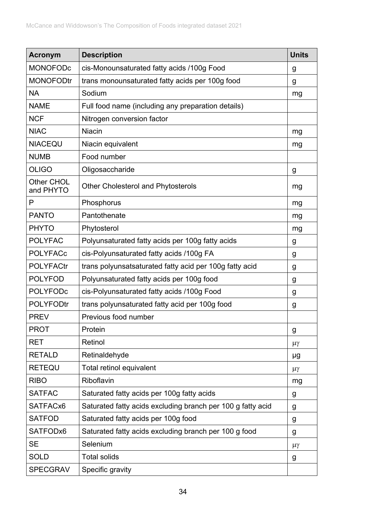| <b>Acronym</b>          | <b>Description</b>                                          | <b>Units</b> |
|-------------------------|-------------------------------------------------------------|--------------|
| <b>MONOFODc</b>         | cis-Monounsaturated fatty acids /100g Food                  | g            |
| <b>MONOFODtr</b>        | trans monounsaturated fatty acids per 100g food             | g            |
| <b>NA</b>               | Sodium                                                      | mg           |
| <b>NAME</b>             | Full food name (including any preparation details)          |              |
| <b>NCF</b>              | Nitrogen conversion factor                                  |              |
| <b>NIAC</b>             | <b>Niacin</b>                                               | mg           |
| <b>NIACEQU</b>          | Niacin equivalent                                           | mg           |
| <b>NUMB</b>             | Food number                                                 |              |
| <b>OLIGO</b>            | Oligosaccharide                                             | g            |
| Other CHOL<br>and PHYTO | <b>Other Cholesterol and Phytosterols</b>                   | mg           |
| P                       | Phosphorus                                                  | mg           |
| <b>PANTO</b>            | Pantothenate                                                | mg           |
| <b>PHYTO</b>            | Phytosterol                                                 | mg           |
| <b>POLYFAC</b>          | Polyunsaturated fatty acids per 100g fatty acids            | g            |
| <b>POLYFACc</b>         | cis-Polyunsaturated fatty acids /100g FA                    | g            |
| <b>POLYFACtr</b>        | trans polyunsatsaturated fatty acid per 100g fatty acid     | g            |
| <b>POLYFOD</b>          | Polyunsaturated fatty acids per 100g food                   | g            |
| <b>POLYFODc</b>         | cis-Polyunsaturated fatty acids /100g Food                  | g            |
| <b>POLYFODtr</b>        | trans polyunsaturated fatty acid per 100g food              | g            |
| <b>PREV</b>             | Previous food number                                        |              |
| <b>PROT</b>             | Protein                                                     | g            |
| <b>RET</b>              | Retinol                                                     | $\mu\gamma$  |
| <b>RETALD</b>           | Retinaldehyde                                               | μg           |
| <b>RETEQU</b>           | Total retinol equivalent                                    | $\mu\gamma$  |
| <b>RIBO</b>             | Riboflavin                                                  | mg           |
| <b>SATFAC</b>           | Saturated fatty acids per 100g fatty acids                  | g            |
| SATFACx6                | Saturated fatty acids excluding branch per 100 g fatty acid | g            |
| <b>SATFOD</b>           | Saturated fatty acids per 100g food                         | g            |
| SATFODx6                | Saturated fatty acids excluding branch per 100 g food       | g            |
| <b>SE</b>               | Selenium                                                    | $\mu\gamma$  |
| <b>SOLD</b>             | <b>Total solids</b>                                         | g            |
| <b>SPECGRAV</b>         | Specific gravity                                            |              |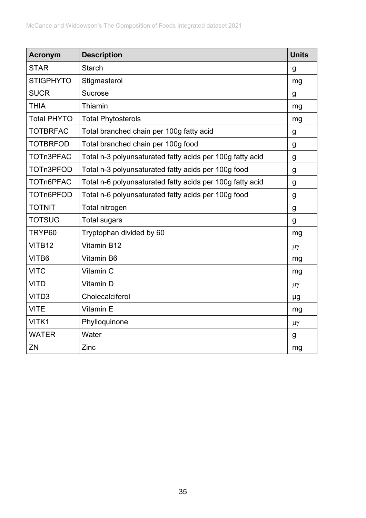| <b>Acronym</b>     | <b>Description</b>                                        | <b>Units</b> |
|--------------------|-----------------------------------------------------------|--------------|
| <b>STAR</b>        | <b>Starch</b>                                             | g            |
| <b>STIGPHYTO</b>   | Stigmasterol                                              | mg           |
| <b>SUCR</b>        | <b>Sucrose</b>                                            | g            |
| <b>THIA</b>        | Thiamin                                                   | mg           |
| <b>Total PHYTO</b> | <b>Total Phytosterols</b>                                 | mg           |
| <b>TOTBRFAC</b>    | Total branched chain per 100g fatty acid                  | g            |
| <b>TOTBRFOD</b>    | Total branched chain per 100g food                        | g            |
| TOTn3PFAC          | Total n-3 polyunsaturated fatty acids per 100g fatty acid | g            |
| TOTn3PFOD          | Total n-3 polyunsaturated fatty acids per 100g food       | g            |
| TOTn6PFAC          | Total n-6 polyunsaturated fatty acids per 100g fatty acid | g            |
| TOTn6PFOD          | Total n-6 polyunsaturated fatty acids per 100g food       | $\mathsf g$  |
| <b>TOTNIT</b>      | Total nitrogen                                            | g            |
| <b>TOTSUG</b>      | <b>Total sugars</b>                                       | g            |
| TRYP60             | Tryptophan divided by 60                                  | mg           |
| VITB12             | Vitamin B12                                               | $\mu\gamma$  |
| VITB6              | Vitamin B6                                                | mg           |
| <b>VITC</b>        | Vitamin C                                                 | mg           |
| <b>VITD</b>        | Vitamin D                                                 | $\mu\gamma$  |
| VITD3              | Cholecalciferol                                           | μg           |
| <b>VITE</b>        | Vitamin E                                                 | mg           |
| VITK1              | Phylloquinone                                             | $\mu\gamma$  |
| <b>WATER</b>       | Water                                                     | g            |
| ZN                 | Zinc                                                      | mg           |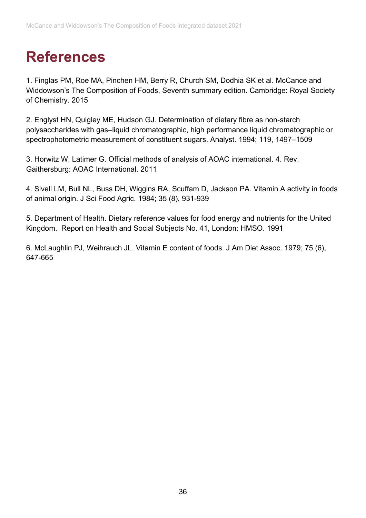# <span id="page-35-0"></span>**References**

<span id="page-35-1"></span>1. Finglas PM, Roe MA, Pinchen HM, Berry R, Church SM, Dodhia SK et al. McCance and Widdowson's The Composition of Foods, Seventh summary edition. Cambridge: Royal Society of Chemistry. 2015

<span id="page-35-2"></span>2. Englyst HN, Quigley ME, Hudson GJ. Determination of dietary fibre as non-starch polysaccharides with gas–liquid chromatographic, high performance liquid chromatographic or spectrophotometric measurement of constituent sugars. Analyst. 1994; 119, 1497–1509

<span id="page-35-3"></span>3. Horwitz W, Latimer G. Official methods of analysis of AOAC international. 4. Rev. Gaithersburg: AOAC International. 2011

<span id="page-35-4"></span>4. Sivell LM, Bull NL, Buss DH, Wiggins RA, Scuffam D, Jackson PA. Vitamin A activity in foods of animal origin. J Sci Food Agric. 1984; 35 (8), 931-939

<span id="page-35-5"></span>5. Department of Health. Dietary reference values for food energy and nutrients for the United Kingdom. Report on Health and Social Subjects No. 41, London: HMSO. 1991

<span id="page-35-6"></span>6. McLaughlin PJ, Weihrauch JL. Vitamin E content of foods. J Am Diet Assoc. 1979; 75 (6), 647-665